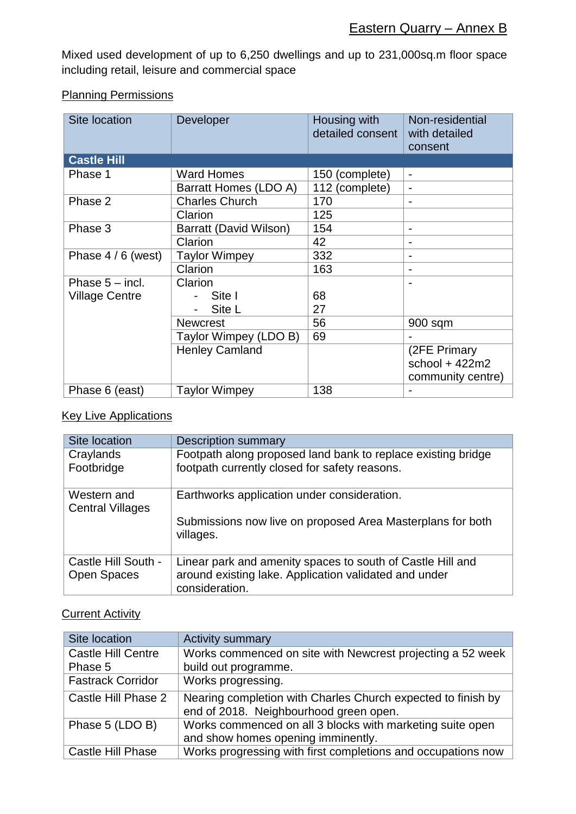Mixed used development of up to 6,250 dwellings and up to 231,000sq.m floor space including retail, leisure and commercial space

## Planning Permissions

| Site location            | Developer              | Housing with<br>detailed consent | Non-residential<br>with detailed<br>consent |
|--------------------------|------------------------|----------------------------------|---------------------------------------------|
| <b>Castle Hill</b>       |                        |                                  |                                             |
| Phase 1                  | <b>Ward Homes</b>      | 150 (complete)                   | $\blacksquare$                              |
|                          | Barratt Homes (LDO A)  | 112 (complete)                   | $\blacksquare$                              |
| Phase 2                  | <b>Charles Church</b>  | 170                              |                                             |
|                          | Clarion                | 125                              |                                             |
| Phase 3                  | Barratt (David Wilson) | 154                              |                                             |
|                          | Clarion                | 42                               |                                             |
| Phase $4/6$ (west)       | <b>Taylor Wimpey</b>   | 332                              |                                             |
|                          | Clarion                | 163                              |                                             |
| Phase $5 - \text{incl.}$ | Clarion                |                                  |                                             |
| <b>Village Centre</b>    | Site I                 | 68                               |                                             |
|                          | Site L                 | 27                               |                                             |
|                          | <b>Newcrest</b>        | 56                               | 900 sqm                                     |
|                          | Taylor Wimpey (LDO B)  | 69                               |                                             |
|                          | <b>Henley Camland</b>  |                                  | (2FE Primary<br>school + $422m2$            |
|                          |                        |                                  | community centre)                           |
| Phase 6 (east)           | <b>Taylor Wimpey</b>   | 138                              |                                             |

## **Key Live Applications**

| Site location                             | <b>Description summary</b>                                                                                                            |
|-------------------------------------------|---------------------------------------------------------------------------------------------------------------------------------------|
| Craylands<br>Footbridge                   | Footpath along proposed land bank to replace existing bridge<br>footpath currently closed for safety reasons.                         |
| Western and<br><b>Central Villages</b>    | Earthworks application under consideration.                                                                                           |
|                                           | Submissions now live on proposed Area Masterplans for both<br>villages.                                                               |
| Castle Hill South -<br><b>Open Spaces</b> | Linear park and amenity spaces to south of Castle Hill and<br>around existing lake. Application validated and under<br>consideration. |

## **Current Activity**

| Site location             | <b>Activity summary</b>                                                                                |
|---------------------------|--------------------------------------------------------------------------------------------------------|
| <b>Castle Hill Centre</b> | Works commenced on site with Newcrest projecting a 52 week                                             |
| Phase 5                   | build out programme.                                                                                   |
| <b>Fastrack Corridor</b>  | Works progressing.                                                                                     |
| Castle Hill Phase 2       | Nearing completion with Charles Church expected to finish by<br>end of 2018. Neighbourhood green open. |
| Phase 5 (LDO B)           | Works commenced on all 3 blocks with marketing suite open                                              |
|                           | and show homes opening imminently.                                                                     |
| <b>Castle Hill Phase</b>  | Works progressing with first completions and occupations now                                           |